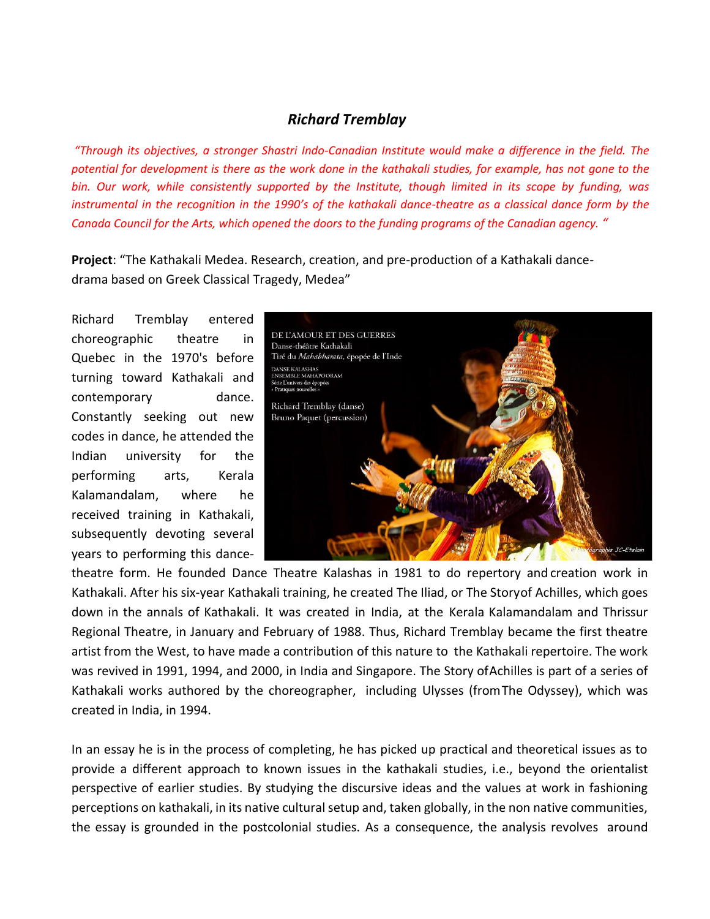## *Richard Tremblay*

*"Through its objectives, a stronger Shastri Indo-Canadian Institute would make a difference in the field. The potential for development is there as the work done in the kathakali studies, for example, has not gone to the bin. Our work, while consistently supported by the Institute, though limited in its scope by funding, was instrumental in the recognition in the 1990's of the kathakali dance-theatre as a classical dance form by the Canada Council for the Arts, which opened the doors to the funding programs of the Canadian agency. "*

**Project**: "The Kathakali Medea. Research, creation, and pre-production of a Kathakali dancedrama based on Greek Classical Tragedy, Medea"

Richard Tremblay entered choreographic theatre in Quebec in the 1970's before turning toward Kathakali and contemporary dance. Constantly seeking out new codes in dance, he attended the Indian university for the performing arts, Kerala Kalamandalam, where he received training in Kathakali, subsequently devoting several years to performing this dance-



theatre form. He founded Dance Theatre Kalashas in 1981 to do repertory and creation work in Kathakali. After his six-year Kathakali training, he created The Iliad, or The Storyof Achilles, which goes down in the annals of Kathakali. It was created in India, at the Kerala Kalamandalam and Thrissur Regional Theatre, in January and February of 1988. Thus, Richard Tremblay became the first theatre artist from the West, to have made a contribution of this nature to the Kathakali repertoire. The work was revived in 1991, 1994, and 2000, in India and Singapore. The Story ofAchilles is part of a series of Kathakali works authored by the choreographer, including Ulysses (fromThe Odyssey), which was created in India, in 1994.

In an essay he is in the process of completing, he has picked up practical and theoretical issues as to provide a different approach to known issues in the kathakali studies, i.e., beyond the orientalist perspective of earlier studies. By studying the discursive ideas and the values at work in fashioning perceptions on kathakali, in its native cultural setup and, taken globally, in the non native communities, the essay is grounded in the postcolonial studies. As a consequence, the analysis revolves around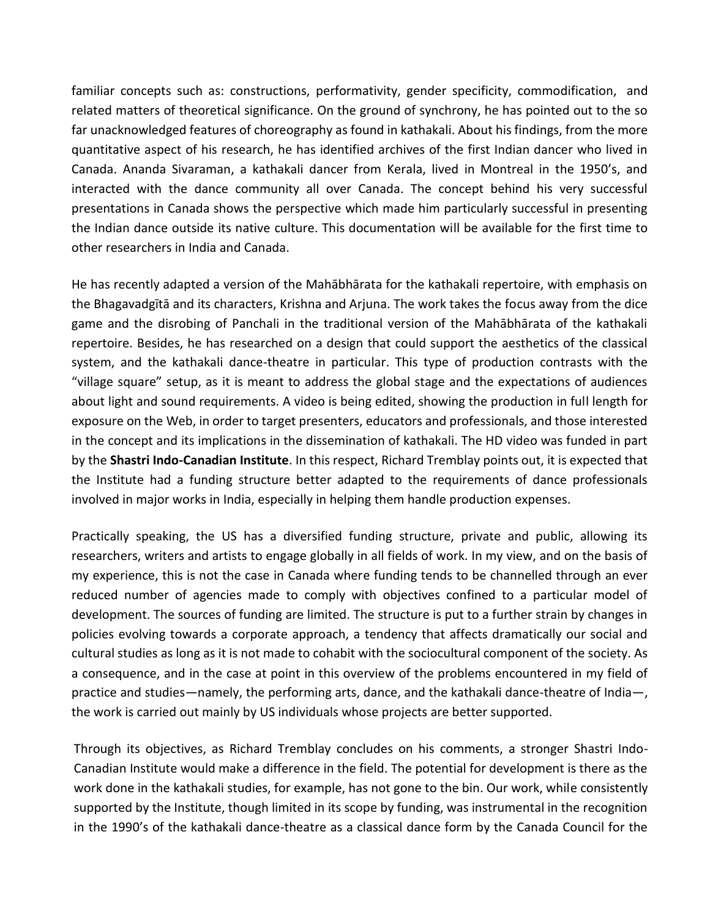familiar concepts such as: constructions, performativity, gender specificity, commodification, and related matters of theoretical significance. On the ground of synchrony, he has pointed out to the so far unacknowledged features of choreography as found in kathakali. About his findings, from the more quantitative aspect of his research, he has identified archives of the first Indian dancer who lived in Canada. Ananda Sivaraman, a kathakali dancer from Kerala, lived in Montreal in the 1950's, and interacted with the dance community all over Canada. The concept behind his very successful presentations in Canada shows the perspective which made him particularly successful in presenting the Indian dance outside its native culture. This documentation will be available for the first time to other researchers in India and Canada.

He has recently adapted a version of the Mahābhārata for the kathakali repertoire, with emphasis on the Bhagavadgītā and its characters, Krishna and Arjuna. The work takes the focus away from the dice game and the disrobing of Panchali in the traditional version of the Mahābhārata of the kathakali repertoire. Besides, he has researched on a design that could support the aesthetics of the classical system, and the kathakali dance-theatre in particular. This type of production contrasts with the "village square" setup, as it is meant to address the global stage and the expectations of audiences about light and sound requirements. A video is being edited, showing the production in full length for exposure on the Web, in order to target presenters, educators and professionals, and those interested in the concept and its implications in the dissemination of kathakali. The HD video was funded in part by the **Shastri Indo-Canadian Institute**. In this respect, Richard Tremblay points out, it is expected that the Institute had a funding structure better adapted to the requirements of dance professionals involved in major works in India, especially in helping them handle production expenses.

Practically speaking, the US has a diversified funding structure, private and public, allowing its researchers, writers and artists to engage globally in all fields of work. In my view, and on the basis of my experience, this is not the case in Canada where funding tends to be channelled through an ever reduced number of agencies made to comply with objectives confined to a particular model of development. The sources of funding are limited. The structure is put to a further strain by changes in policies evolving towards a corporate approach, a tendency that affects dramatically our social and cultural studies as long as it is not made to cohabit with the sociocultural component of the society. As a consequence, and in the case at point in this overview of the problems encountered in my field of practice and studies—namely, the performing arts, dance, and the kathakali dance-theatre of India—, the work is carried out mainly by US individuals whose projects are better supported.

Through its objectives, as Richard Tremblay concludes on his comments, a stronger Shastri Indo-Canadian Institute would make a difference in the field. The potential for development is there as the work done in the kathakali studies, for example, has not gone to the bin. Our work, while consistently supported by the Institute, though limited in its scope by funding, was instrumental in the recognition in the 1990's of the kathakali dance-theatre as a classical dance form by the Canada Council for the